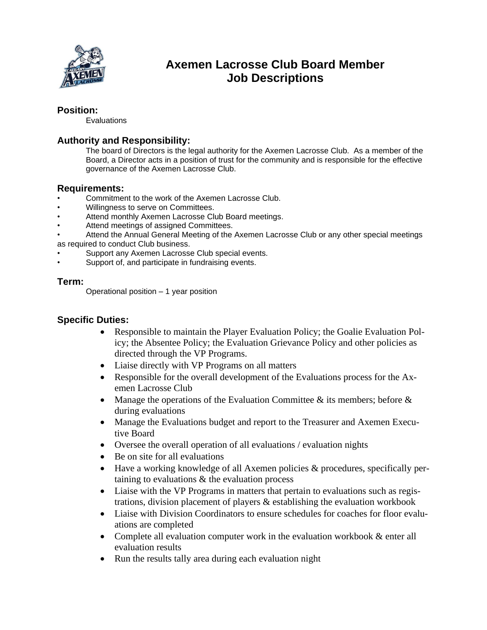

# **Axemen Lacrosse Club Board Member Job Descriptions**

#### **Position:**

**Evaluations** 

## **Authority and Responsibility:**

The board of Directors is the legal authority for the Axemen Lacrosse Club. As a member of the Board, a Director acts in a position of trust for the community and is responsible for the effective governance of the Axemen Lacrosse Club.

#### **Requirements:**

- Commitment to the work of the Axemen Lacrosse Club.
- Willingness to serve on Committees.
- Attend monthly Axemen Lacrosse Club Board meetings.
- Attend meetings of assigned Committees.
- Attend the Annual General Meeting of the Axemen Lacrosse Club or any other special meetings as required to conduct Club business.
- Support any Axemen Lacrosse Club special events.
- Support of, and participate in fundraising events.

#### **Term:**

Operational position – 1 year position

### **Specific Duties:**

- Responsible to maintain the Player Evaluation Policy; the Goalie Evaluation Policy; the Absentee Policy; the Evaluation Grievance Policy and other policies as directed through the VP Programs.
- Liaise directly with VP Programs on all matters
- Responsible for the overall development of the Evaluations process for the Axemen Lacrosse Club
- Manage the operations of the Evaluation Committee  $\&$  its members; before  $\&$ during evaluations
- Manage the Evaluations budget and report to the Treasurer and Axemen Executive Board
- Oversee the overall operation of all evaluations / evaluation nights
- Be on site for all evaluations
- Have a working knowledge of all Axemen policies & procedures, specifically pertaining to evaluations & the evaluation process
- Liaise with the VP Programs in matters that pertain to evaluations such as registrations, division placement of players & establishing the evaluation workbook
- Liaise with Division Coordinators to ensure schedules for coaches for floor evaluations are completed
- Complete all evaluation computer work in the evaluation workbook & enter all evaluation results
- Run the results tally area during each evaluation night